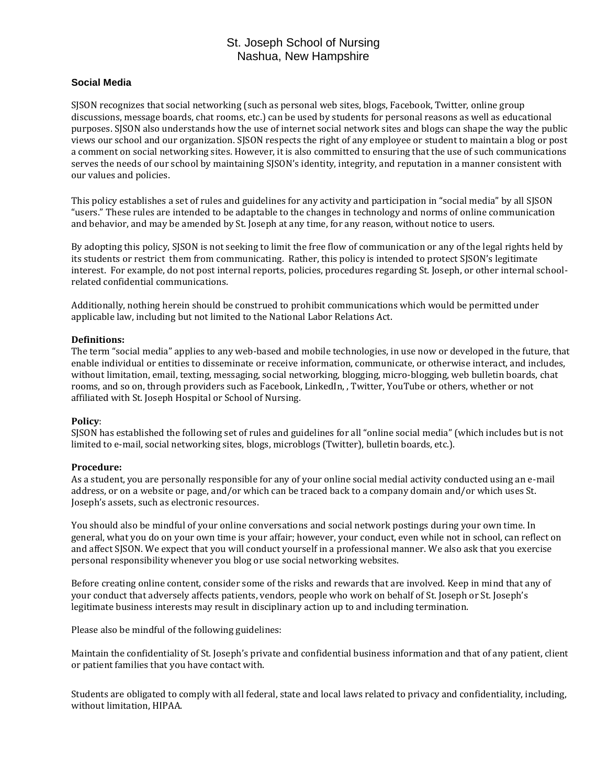# St. Joseph School of Nursing Nashua, New Hampshire

### **Social Media**

SJSON recognizes that social networking (such as personal web sites, blogs, Facebook, Twitter, online group discussions, message boards, chat rooms, etc.) can be used by students for personal reasons as well as educational purposes. SJSON also understands how the use of internet social network sites and blogs can shape the way the public views our school and our organization. SJSON respects the right of any employee or student to maintain a blog or post a comment on social networking sites. However, it is also committed to ensuring that the use of such communications serves the needs of our school by maintaining SJSON's identity, integrity, and reputation in a manner consistent with our values and policies.

This policy establishes a set of rules and guidelines for any activity and participation in "social media" by all SJSON "users." These rules are intended to be adaptable to the changes in technology and norms of online communication and behavior, and may be amended by St. Joseph at any time, for any reason, without notice to users.

By adopting this policy, SJSON is not seeking to limit the free flow of communication or any of the legal rights held by its students or restrict them from communicating. Rather, this policy is intended to protect SJSON's legitimate interest. For example, do not post internal reports, policies, procedures regarding St. Joseph, or other internal schoolrelated confidential communications.

Additionally, nothing herein should be construed to prohibit communications which would be permitted under applicable law, including but not limited to the National Labor Relations Act.

#### **Definitions:**

The term "social media" applies to any web-based and mobile technologies, in use now or developed in the future, that enable individual or entities to disseminate or receive information, communicate, or otherwise interact, and includes, without limitation, email, texting, messaging, social networking, blogging, micro-blogging, web bulletin boards, chat rooms, and so on, through providers such as Facebook, LinkedIn, , Twitter, YouTube or others, whether or not affiliated with St. Joseph Hospital or School of Nursing.

#### **Policy**:

SJSON has established the following set of rules and guidelines for all "online social media" (which includes but is not limited to e-mail, social networking sites, blogs, microblogs (Twitter), bulletin boards, etc.).

#### **Procedure:**

As a student, you are personally responsible for any of your online social medial activity conducted using an e-mail address, or on a website or page, and/or which can be traced back to a company domain and/or which uses St. Joseph's assets, such as electronic resources.

You should also be mindful of your online conversations and social network postings during your own time. In general, what you do on your own time is your affair; however, your conduct, even while not in school, can reflect on and affect SJSON. We expect that you will conduct yourself in a professional manner. We also ask that you exercise personal responsibility whenever you blog or use social networking websites.

Before creating online content, consider some of the risks and rewards that are involved. Keep in mind that any of your conduct that adversely affects patients, vendors, people who work on behalf of St. Joseph or St. Joseph's legitimate business interests may result in disciplinary action up to and including termination.

Please also be mindful of the following guidelines:

Maintain the confidentiality of St. Joseph's private and confidential business information and that of any patient, client or patient families that you have contact with.

Students are obligated to comply with all federal, state and local laws related to privacy and confidentiality, including, without limitation, HIPAA.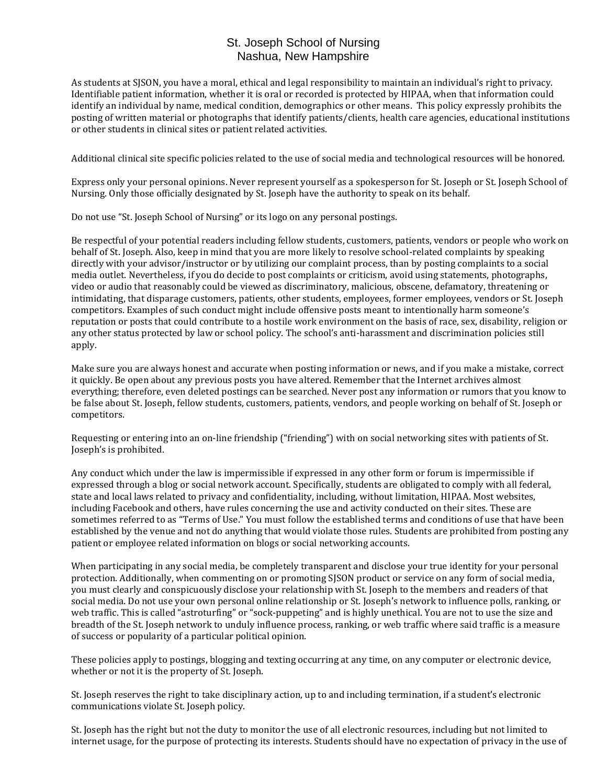## St. Joseph School of Nursing Nashua, New Hampshire

As students at SJSON, you have a moral, ethical and legal responsibility to maintain an individual's right to privacy. Identifiable patient information, whether it is oral or recorded is protected by HIPAA, when that information could identify an individual by name, medical condition, demographics or other means. This policy expressly prohibits the posting of written material or photographs that identify patients/clients, health care agencies, educational institutions or other students in clinical sites or patient related activities.

Additional clinical site specific policies related to the use of social media and technological resources will be honored.

Express only your personal opinions. Never represent yourself as a spokesperson for St. Joseph or St. Joseph School of Nursing. Only those officially designated by St. Joseph have the authority to speak on its behalf.

Do not use "St. Joseph School of Nursing" or its logo on any personal postings.

Be respectful of your potential readers including fellow students, customers, patients, vendors or people who work on behalf of St. Joseph. Also, keep in mind that you are more likely to resolve school-related complaints by speaking directly with your advisor/instructor or by utilizing our complaint process, than by posting complaints to a social media outlet. Nevertheless, if you do decide to post complaints or criticism, avoid using statements, photographs, video or audio that reasonably could be viewed as discriminatory, malicious, obscene, defamatory, threatening or intimidating, that disparage customers, patients, other students, employees, former employees, vendors or St. Joseph competitors. Examples of such conduct might include offensive posts meant to intentionally harm someone's reputation or posts that could contribute to a hostile work environment on the basis of race, sex, disability, religion or any other status protected by law or school policy. The school's anti-harassment and discrimination policies still apply.

Make sure you are always honest and accurate when posting information or news, and if you make a mistake, correct it quickly. Be open about any previous posts you have altered. Remember that the Internet archives almost everything; therefore, even deleted postings can be searched. Never post any information or rumors that you know to be false about St. Joseph, fellow students, customers, patients, vendors, and people working on behalf of St. Joseph or competitors.

Requesting or entering into an on-line friendship ("friending") with on social networking sites with patients of St. Joseph's is prohibited.

Any conduct which under the law is impermissible if expressed in any other form or forum is impermissible if expressed through a blog or social network account. Specifically, students are obligated to comply with all federal, state and local laws related to privacy and confidentiality, including, without limitation, HIPAA. Most websites, including Facebook and others, have rules concerning the use and activity conducted on their sites. These are sometimes referred to as "Terms of Use." You must follow the established terms and conditions of use that have been established by the venue and not do anything that would violate those rules. Students are prohibited from posting any patient or employee related information on blogs or social networking accounts.

When participating in any social media, be completely transparent and disclose your true identity for your personal protection. Additionally, when commenting on or promoting SJSON product or service on any form of social media, you must clearly and conspicuously disclose your relationship with St. Joseph to the members and readers of that social media. Do not use your own personal online relationship or St. Joseph's network to influence polls, ranking, or web traffic. This is called "astroturfing" or "sock-puppeting" and is highly unethical. You are not to use the size and breadth of the St. Joseph network to unduly influence process, ranking, or web traffic where said traffic is a measure of success or popularity of a particular political opinion.

These policies apply to postings, blogging and texting occurring at any time, on any computer or electronic device, whether or not it is the property of St. Joseph.

St. Joseph reserves the right to take disciplinary action, up to and including termination, if a student's electronic communications violate St. Joseph policy.

St. Joseph has the right but not the duty to monitor the use of all electronic resources, including but not limited to internet usage, for the purpose of protecting its interests. Students should have no expectation of privacy in the use of